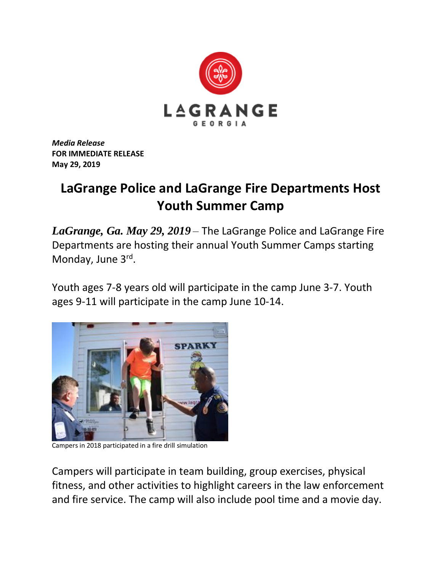

*Media Release* **FOR IMMEDIATE RELEASE May 29, 2019**

## **LaGrange Police and LaGrange Fire Departments Host Youth Summer Camp**

*LaGrange, Ga. May 29, 2019* – The LaGrange Police and LaGrange Fire Departments are hosting their annual Youth Summer Camps starting Monday, June 3rd.

Youth ages 7-8 years old will participate in the camp June 3-7. Youth ages 9-11 will participate in the camp June 10-14.



Campers in 2018 participated in a fire drill simulation

Campers will participate in team building, group exercises, physical fitness, and other activities to highlight careers in the law enforcement and fire service. The camp will also include pool time and a movie day.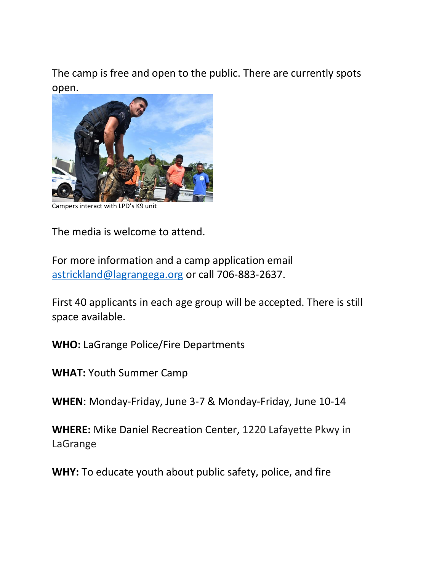The camp is free and open to the public. There are currently spots open.



Campers interact with LPD's K9 unit

The media is welcome to attend.

For more information and a camp application email [astrickland@lagrangega.org](mailto:astrickland@lagrangega.org) or call 706-883-2637.

First 40 applicants in each age group will be accepted. There is still space available.

**WHO:** LaGrange Police/Fire Departments

**WHAT:** Youth Summer Camp

**WHEN**: Monday-Friday, June 3-7 & Monday-Friday, June 10-14

**WHERE:** Mike Daniel Recreation Center, 1220 Lafayette Pkwy in LaGrange

**WHY:** To educate youth about public safety, police, and fire